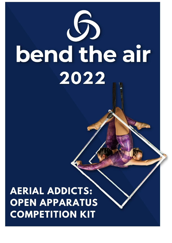

**AERIAL ADDICTS: OPEN APPARATUS COMPETITION KIT**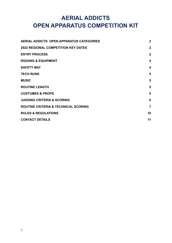# **AERIAL ADDICTS OPEN APPARATUS COMPETITION KIT**

| <b>AERIAL ADDICTS: OPEN APPARATUS CATEGORIES</b> | $\overline{2}$          |
|--------------------------------------------------|-------------------------|
| <b>2022 REGIONAL COMPETITION KEY DATES</b>       | $\overline{2}$          |
| <b>ENTRY PROCESS</b>                             | $\overline{2}$          |
| <b>RIGGING &amp; EQUIPMENT</b>                   | $\overline{\mathbf{4}}$ |
| <b>SAFETY MAT</b>                                | $\overline{\mathbf{4}}$ |
| <b>TECH RUNS</b>                                 | 5                       |
| <b>MUSIC</b>                                     | 5                       |
| <b>ROUTINE LENGTH</b>                            | 5                       |
| <b>COSTUMES &amp; PROPS</b>                      | 5                       |
| <b>JUDGING CRITERIA &amp; SCORING</b>            | 6                       |
| ROUTINE CRITERIA & TECHNICAL SCORING             | $\overline{7}$          |
| <b>RULES &amp; REGULATIONS</b>                   | 10                      |
| <b>CONTACT DETAILS</b>                           | 11                      |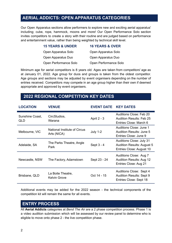### <span id="page-2-0"></span>**AERIAL ADDICTS: OPEN APPARATUS CATEGORIES**

Our Open Apparatus sections allow performers to explore new and exciting aerial apparatus' including; cube, rope, hammock, moons and more! Our Open Performance Solo section invites competitors to create a story with their routine and are judged based on performance and entertainment value, rather than being weighted by technical skill level.

| <b>15 YEARS &amp; UNDER</b> | <b>16 YEARS &amp; OVER</b> |
|-----------------------------|----------------------------|
| Open Apparatus Solo         | Open Apparatus Solo        |
| Open Apparatus Duo          | Open Apparatus Duo         |
| Open Performance Solo       | Open Performance Solo      |

Minimum age for aerial competitors is 8 years old. Ages are taken from competitors' age as at January 01, 2022. Age group for duos and groups is taken from the oldest competitor. Age groups and sections may be adjusted by event organisers depending on the number of entries received. Competitors may compete in an age group higher than their own if deemed appropriate and approved by event organisers.

### <span id="page-2-1"></span>**2022 REGIONAL COMPETITION KEY DATES**

| <b>LOCATION</b>        | <b>VENUE</b>                                       | <b>EVENT DATE</b> | <b>KEY DATES</b>                                                                                 |
|------------------------|----------------------------------------------------|-------------------|--------------------------------------------------------------------------------------------------|
| Sunshine Coast,<br>QLD | CircStudios,<br>Warana                             | April 2 - 3       | Auditions Close: Feb 20<br><b>Audition Results: Feb 25</b><br>Entries Close: March 6             |
| Melbourne, VIC         | <b>National Institute of Circus</b><br>Arts (NICA) | <b>July 1-2</b>   | Auditions Close: June 1<br><b>Audition Results: June 5</b><br>Entries Close: June 9              |
| Adelaide, SA           | The Parks Theatre, Angle<br>Park                   | Sept 3 - 4        | <b>Auditions Close: July 31</b><br><b>Audition Results: August 5</b><br>Entries Close: August 10 |
| Newcastle, NSW         | The Factory, Adamstown                             | Sept 23 - 24      | Auditions Close: Aug 7<br>Audition Results: Aug 12<br>Entries Close: Aug 21                      |
| Brisbane, QLD          | La Boite Theatre,<br><b>Kelvin Grove</b>           | Oct 14 - 15       | Auditions Close: Sept 4<br><b>Audition Results: Sept 9</b><br>Entries Close: Sept 18             |

Additional events may be added for the 2022 season - the technical components of the competition kit will remain the same for all events.

### <span id="page-2-2"></span>**ENTRY PROCESS**

All **Aerial Addicts** categories at *Bend The Air* are a 2 phase competition process. Phase 1 is a video audition submission which will be assessed by our review panel to determine who is eligible to move onto phase 2 - the live competition phase.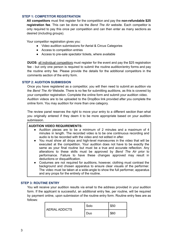#### **STEP 1: COMPETITOR REGISTRATION**

**All competitors** must first register for the competition and pay the **non-refundable \$25 registration fee**. This can be done via the *Bend The Air* website. Each competitor is only required to pay this once per competition and can then enter as many sections as desired (including groups).

Your competitor registration gives you:

- Video audition submissions for Aerial & Circus Categories
- Access to competition entries
- Access to pre-sale spectator tickets, where available

**DUOS:** all individual competitors must register for the event and pay the \$25 registration fee - but only one person is required to submit the routine audition/entry forms and pay the routine entry fee. Please provide the details for the additional competitors in the comments section of the entry form.

#### **STEP 2: AUDITION SUBMISSION**

Once you have registered as a competitor, you will then need to submit an audition via the *Bend The Air* Website. There is no fee for submitting auditions, as this is covered by your competitor registration. Complete the online form and submit your audition video. Audition videos are to be uploaded to the DropBox link provided after you complete the online form. You may audition for more than one category.

The review panel reserves the right to move your entry to a different section than what you originally entered if they deem it to be more appropriate based on your audition submission.

#### **AUDITION VIDEO REQUIREMENTS:**

- Audition pieces are to be a minimum of 2 minutes and a maximum of 4 minutes in length. The recorded video is to be one continuous recording and audio is to be recorded with the video and not edited in after.
- You must show all drops and high-level manoeuvres in the video that will be executed at the competition. Your audition does not have to be exactly the same as your final routine but must be a true and accurate reflection. Any alterations to these skills must be approved by *Bend The Air* prior to performance. Failure to have these changes approved may result in deductions or disqualification.
- Costumes are not required for auditions, however, clothing must contrast the background and chosen apparatus to ensure clear visuals of the performer. The video must be taken at a wide-angle to show the full performer, apparatus and any props for the entirety of the routine.

#### **STEP 3: ROUTINE ENTRY**

You will receive your audition results via email to the address provided in your audition form. If the applicant is successful, an additional entry fee, per routine, will be required by payment online, upon submission of the routine entry form. Routine entry fees are as follows:

| <b>AERIAL ADDICTS</b> | Solo | \$50 |
|-----------------------|------|------|
|                       | Duo  | \$60 |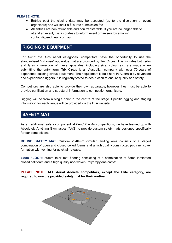#### **PLEASE NOTE:**

- Entries past the closing date may be accepted (up to the discretion of event organisers) and will incur a \$20 late submission fee.
- All entries are non refundable and non transferable. If you are no longer able to attend an event, it is a courtesy to inform event organisers by emailing contact@bendtheair.com.au

### <span id="page-4-0"></span>**RIGGING & EQUIPMENT**

For *Bend the Air*'s aerial categories, competitors have the opportunity to use the standardised 'in-house' apparatus that are provided by Trix Circus. This includes both silks and lyras - selection of these apparatus' including size, colour etc. are made when submitting the entry form. Trix Circus is an Australian company with over 70-years of experience building circus equipment. Their equipment is built here in Australia by advanced and experienced riggers. It is regularly tested to destruction to ensure quality and safety.

Competitors are also able to provide their own apparatus, however they must be able to provide certification and structural information to competition organisers.

Rigging will be from a single point in the centre of the stage. Specific rigging and staging information for each venue will be provided via the BTA website.

### <span id="page-4-1"></span>**SAFETY MAT**

As an additional safety component at *Bend The Air* competitions, we have teamed up with Absolutely Anything Gymnastics (AAG) to provide custom safety mats designed specifically for our competitions.

**ROUND SAFETY MAT:** Custom 2546mm circular landing area consists of a staged combination of open and closed celled foams and a high quality constructed pvc vinyl cover formation with venting for quick air release.

**6x6m FLOOR:** 30mm thick mat flooring consisting of a combination of flame laminated closed cell foam and a high quality non-woven Polypropylene carpet.

**PLEASE NOTE: ALL Aerial Addicts competitors, except the Elite category, are required to use the provided safety mat for their routine.**

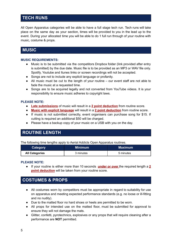# <span id="page-5-0"></span>**TECH RUNS**

All Open Apparatus categories will be able to have a full stage tech run. Tech runs will take place on the same day as your section, times will be provided to you in the lead up to the event. During your allocated time you will be able to do 1 full run through of your routine with music, costume & props.

### <span id="page-5-1"></span>**MUSIC**

#### **MUSIC REQUIREMENTS:**

- Music is to be submitted via the competitors Dropbox folder (link provided after entry is submitted) by the due date. Music file is to be provided as an MP3 or WAV file only. Spotify, Youtube and Itunes links or screen recordings will not be accepted.
- Songs are not to include any explicit language or profanity.
- All music must be cut to the length of your routine our event staff are not able to fade the music at a requested time.
- Songs are to be acquired legally and not converted from YouTube videos. It is your responsibility to ensure music adheres to copyright laws.

#### **PLEASE NOTE:**

- **Late submissions** of music will result in a **2 point deduction** from routine score.
- **Music with explicit language** will result in a **2 point deduction** from routine score.
- If music is not submitted correctly, event organisers can purchase song for \$15. If cutting is required an additional \$50 will be charged.
- Please have a backup copy of your music on a USB with you on the day.

# <span id="page-5-2"></span>**ROUTINE LENGTH**

The following time lengths apply to Aerial Addicts Open Apparatus routines.

| Category              | Minimum   | Maximum   |
|-----------------------|-----------|-----------|
| <b>All Categories</b> | 3 minutes | 5 minutes |

#### **PLEASE NOTE:**

● If your routine is either more than 10 seconds **under or over** the required length a **2 point deduction** will be taken from your routine score.

### <span id="page-5-3"></span>**COSTUMES & PROPS**

- All costumes worn by competitors must be appropriate in regard to suitability for use on apparatus and meeting expected performance standards (e.g. no loose or ill-fitting and no nudity).
- Due to the matted floor no hard shoes or heels are permitted to be worn.
- All props for intended use on the matted floor, must be submitted for approval to ensure they will not damage the mats.
- Glitter, confetti, pyrotechnics, explosives or any props that will require cleaning after a performance are **NOT** permitted.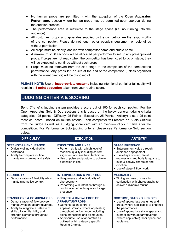- No human props are permitted with the exception of the **Open Apparatus Performance** section where human props may be permitted upon approval during the audition process.
- The performance area is restricted to the stage space (i.e. no running into the audience).
- All costumes, props and apparatus supplied by the competitor are the responsibility of the competitor. Please do not touch other people's equipment or belongings without permission.
- All props must be clearly labelled with competitor name and studio name.
- A maximum of 30 seconds will be allocated per performer to set up any pre-approved props. If props are not ready when the competitor has been cued to go on stage, they will be expected to continue without such props.
- Props must be removed from the side stage at the completion of the competitor's performance. Any props left on site at the end of the competition (unless organised with the event director) will be disposed of.

**PLEASE NOTE:** Use of **inappropriate costume** including intentional partial or full nudity will result in a **5 point deduction** taken from your routine score.

### <span id="page-6-0"></span>**JUDGING CRITERIA & SCORING**

*Bend The Air*'s judging system provides a score out of 100 for each competitor. For the Open Apparatus Solo & Duo sections this is based on the below general judging criteria categories (25 points - Difficulty, 25 Points - Execution, 25 Points - Artistry), plus a 25 point technical score - based on routine criteria. Each competitor will receive an Audio Critique from the Judge as well as a judging score card with an overview of your marks after the competition. For Performance Solo judging criteria, please see Performance Solo section below.

| <b>DIFFICULTY</b>                                                                                                                                                                                                                   | <b>EXECUTION</b>                                                                                                                                                                                                                                                                                          | <b>ARTISTRY</b>                                                                                                                                                                                                                                                     |
|-------------------------------------------------------------------------------------------------------------------------------------------------------------------------------------------------------------------------------------|-----------------------------------------------------------------------------------------------------------------------------------------------------------------------------------------------------------------------------------------------------------------------------------------------------------|---------------------------------------------------------------------------------------------------------------------------------------------------------------------------------------------------------------------------------------------------------------------|
| <b>STRENGTH &amp; ENDURANCE</b><br>Difficulty of individual skills<br>performed.<br>• Ability to complete routine<br>maintaining stamina and safety.                                                                                | <b>EXECUTION AND LINES</b><br>• Perform skills with a high level of<br>technical quality including correct<br>alignment and aesthetic technique.<br>• Use of poise and posture to achieve<br>extension in line.                                                                                           | <b>STAGE PRESENCE</b><br>• Entertainment value through<br>audience engagement.<br>• Use of eye contact, facial<br>expressions and body language to<br>build & convey character and<br>emotion.<br>• Use of stage & floor work                                       |
| <b>FLEXIBILITY</b><br>Demonstration of flexibility whilst<br>maintaining active control.                                                                                                                                            | <b>INTERPRETATION &amp; INTENTION</b><br>• Uniqueness and individuality of<br>choreography.<br>• Performing with intention through a<br>combination of technique and stage<br>presence.                                                                                                                   | <b>MUSICALITY</b><br>• Timing and use of music in<br>conjunction with choreography to<br>deliver a dynamic routine.                                                                                                                                                 |
| <b>TRANSITIONS &amp; COMBINATIONS</b><br>Demonstration of flow between<br>manoeuvres on apparatus/props.<br>• Ability to integrate a balance of<br>skills utilising flexibility and<br>strength elements throughout<br>performance. | <b>CONTROL &amp; KNOWLEDGE OF</b><br><b>APPARATUS/PROPS</b><br>• Demonstration control of<br>apparatus/props (where applicable)<br>throughout performance (including<br>spins, transitions and dismounts).<br>• Appropriate use of apparatus as<br>outlined within category specific<br>Routine Criteria. | <b>COSTUME, STAGING &amp; PROPS</b><br>• Use of appropriate costumes and<br>props (where applicable) to enhance<br>the performance.<br>• Use of appropriate stage space and<br>interaction with apparatus/props<br>(where applicable), floor space and<br>audience. |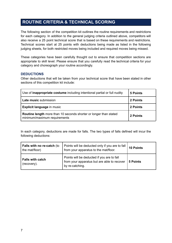# <span id="page-7-0"></span>**ROUTINE CRITERIA & TECHNICAL SCORING**

The following section of the competition kit outlines the routine requirements and restrictions for each category. In addition to the general judging criteria outlined above, competitors will also receive a 25 point technical score that is based on these requirements and restrictions. Technical scores start at 25 points with deductions being made as listed in the following judging sheets, for both restricted moves being included and required moves being missed.

These categories have been carefully thought out to ensure that competition sections are appropriate to skill level. Please ensure that you carefully read the technical criteria for your category and choreograph your routine accordingly.

#### **DEDUCTIONS**

Other deductions that will be taken from your technical score that have been stated in other sections of this competition kit include:

| Use of <b>inappropriate costume</b> including intentional partial or full nudity                  | 5 Points |
|---------------------------------------------------------------------------------------------------|----------|
| Late music submission                                                                             | 2 Points |
| <b>Explicit language in music</b>                                                                 | 2 Points |
| Routine length more than 10 seconds shorter or longer than stated<br>minimum/maximum requirements | 2 Points |

In each category, deductions are made for falls. The two types of falls defined will incur the following deductions:

| <b>Falls with no re-catch (to</b><br>the mat/floor) | Points will be deducted only if you are to fall<br>from your apparatus to the mat/floor.                     | <b>10 Points</b> |
|-----------------------------------------------------|--------------------------------------------------------------------------------------------------------------|------------------|
| <b>Falls with catch</b><br>(recovery).              | Points will be deducted if you are to fall<br>from your apparatus but are able to recover<br>by re-catching. | 5 Points         |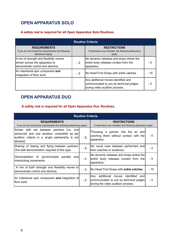# **OPEN APPARATUS SOLO**

#### **A safety mat is required for all Open Apparatus Solo Routines.**

| <b>Routine Criteria</b>                                                                                      |      |                                                                                                                  |       |
|--------------------------------------------------------------------------------------------------------------|------|------------------------------------------------------------------------------------------------------------------|-------|
| <b>REQUIREMENTS</b><br>If you do not include the requirements the following<br>deductions apply:             |      | <b>RESTRICTIONS</b><br>If restrictions are included, the following deductions<br>apply:                          |       |
| A mix of strength and flexibility moves<br>shown across the apparatus to<br>demonstrate control and stamina. | $-2$ | No dynamic releases and drops where the<br>entire body releases contact from the<br>apparatus.                   | - 5   |
| An intentional spin component and<br>integration of floor work.                                              | $-2$ | No Head First Drops with ankle catches.                                                                          | $-10$ |
|                                                                                                              |      | Any additional moves identified and<br>communicated to you by technical judges<br>during video audition process. | - 5   |

## **OPEN APPARATUS DUO**

### **A safety mat is required for all Open Apparatus Duo Routines.**

| <b>Routine Criteria</b>                                                                                                                                     |      |                                                                                                                                   |       |  |
|-------------------------------------------------------------------------------------------------------------------------------------------------------------|------|-----------------------------------------------------------------------------------------------------------------------------------|-------|--|
| <b>REQUIREMENTS</b><br>If you do not include the requirements the following deductions apply:                                                               |      | <b>RESTRICTIONS</b><br>If restrictions are included, the following deductions apply:                                              |       |  |
| Similar skill set between partners (i.e. one)<br>advanced and one amateur competitor as per<br>audition criteria in a single partnership is not<br>allowed) | - 5  | Throwing a partner into the air and<br>catching them without contact with the<br>apparatus.                                       | - 5   |  |
| Sharing of basing and flying between partners.<br>One skill demonstration required of this type.                                                            | - 5  | No vocal cues between performers and<br>their coaches or audience.                                                                | $-2$  |  |
| Demonstration of synchronised<br>parallel<br>andl<br>interlocking movements.                                                                                | - 5  | No dynamic releases and drops where the<br>entire body releases contact from the<br>apparatus.                                    | - 5   |  |
| A mix of both strength and flexibility moves to<br>demonstrate control and stamina.                                                                         | $-2$ | No Head First Drops with <b>ankle catches</b> .                                                                                   | $-10$ |  |
| An intentional spin component and integration of<br>lfloor work.                                                                                            | $-2$ | additional<br>identified<br>moves<br>Any<br>andl<br>communicated to you by technical judges<br>during the video audition process. | - 5   |  |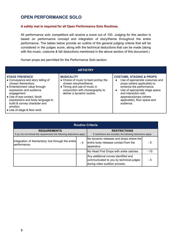### **OPEN PERFORMANCE SOLO**

#### **A safety mat is required for all Open Performance Solo Routines.**

All performance solo competitors will receive a score out of 100. Judging for this section is based on performance concept and integration of story/theme throughout the entire performance. The tables below provide an outline of the general judging criteria that will be considered in the judges score, along with the technical deductions that can be made (along with the music, costume & fall deductions mentioned in the above section of this document.)

Human props are permitted for the Performance Solo section.

|                                                                                                                                                                                                                                                                                                            | <b>ARTISTRY</b>                                                                                                                                                                         |                                                                                                                                                                                                                                                                                              |
|------------------------------------------------------------------------------------------------------------------------------------------------------------------------------------------------------------------------------------------------------------------------------------------------------------|-----------------------------------------------------------------------------------------------------------------------------------------------------------------------------------------|----------------------------------------------------------------------------------------------------------------------------------------------------------------------------------------------------------------------------------------------------------------------------------------------|
| <b>STAGE PRESENCE</b><br>• Conveyance and story telling of<br>chosen theme/story<br>• Entertainment value through<br>expression and audience<br>engagement.<br>• Use of eye contact, facial<br>expressions and body language to<br>build & convey character and<br>emotion.<br>• Use of stage & floor work | <b>MUSICALITY</b><br>• Choice of music to best portray the<br>chosen storyline/theme.<br>• Timing and use of music in<br>conjunction with choreography to<br>deliver a dynamic routine. | <b>COSTUME, STAGING &amp; PROPS</b><br>Use of appropriate costumes and<br>$\bullet$<br>props (where applicable) to<br>enhance the performance.<br>Use of appropriate stage space<br>$\bullet$<br>and interaction with<br>apparatus/props (where<br>applicable), floor space and<br>audience. |

| <b>Routine Criteria</b>                                                                       |     |                                                                                                                  |       |
|-----------------------------------------------------------------------------------------------|-----|------------------------------------------------------------------------------------------------------------------|-------|
| <b>REQUIREMENTS</b><br>If you do not include the requirements the following deductions apply: |     | <b>RESTRICTIONS</b><br>If restrictions are included, the following deductions apply:                             |       |
| Integration of theme/story line through the entire<br>performance.                            | - 5 | No dynamic releases and drops where the<br>entire body releases contact from the<br>apparatus.                   | - 5   |
|                                                                                               |     | No Head First Drops with ankle catches.                                                                          | $-10$ |
|                                                                                               |     | Any additional moves identified and<br>communicated to you by technical judges<br>during video audition process. | - 5   |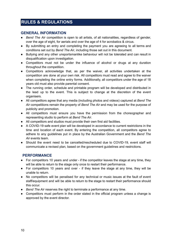# <span id="page-10-0"></span>**RULES & REGULATIONS**

#### **GENERAL INFORMATION**

- *Bend The Air* competition is open to all artists, of all nationalities, regardless of gender, over the age of eight, for aerials and over the age of 4 for acrobatics & circus.
- By submitting an entry and completing the payment you are agreeing to all terms and conditions set out by *Bend The Air*, including those set out in this document.
- Bullying and any other unsportsmanlike behaviour will not be tolerated and can result in disqualification upon investigation.
- Competitors must not be under the influence of alcohol or drugs at any duration throughout the competition.
- Competitors acknowledge that, as per the waiver, all activities undertaken at the competition are done at your own risk. All competitors must read and agree to the waiver when completing the online entry forms. Additionally, all competitors under the age of 18 years old must also provide parental consent.
- The running order, schedule and printable program will be developed and distributed in the lead up to the event. This is subject to change at the discretion of the event organisers.
- All competitors agree that any media (including photos and videos) captured at *Bend The Air* competitions remain the property of *Bend The Air* and may be used for the purpose of publicity and promotion.
- All competitors must ensure you have the permission from the choreographer and representing studio to perform at *Bend The Air*.
- All competitors and studios must provide their own first aid facilities.
- A COVID-19 safe event plan will be developed in accordance to current restrictions in the time and location of each event. By entering the competition, all competitors agree to adhere to any guidelines put in place by the Australian Government and the *Bend The Air* events team.
- Should the event need to be cancelled/rescheduled due to COVID-19, event staff will communicate a revised plan, based on the government guidelines and restrictions.

### **PERFORMANCE**

- For competitors 10 years and under if the competitor leaves the stage at any time, they will be able to return to the stage only once to restart their performance.
- For competitors 10 years and over if they leave the stage at any time, they will be unable to return.
- No competitors will be penalised for any technical or music issues at the fault of event staff/equipment and will be able to return to the stage to restart their performance should this occur.
- *Bend The Air* reserves the right to terminate a performance at any time.
- Competitors must perform in the order stated in the official program unless a change is approved by the event director.